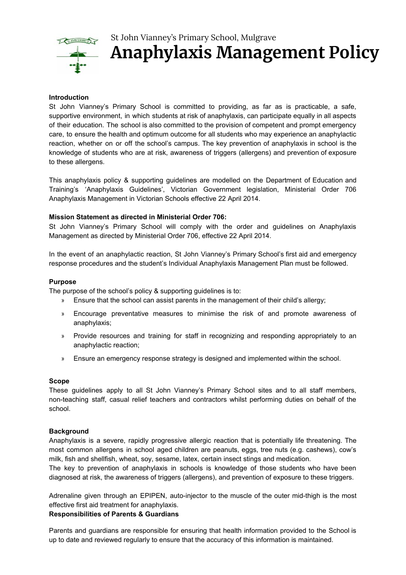

# St John Vianney's Primary School, Mulgrave **Anaphylaxis Management Policy**

## **Introduction**

St John Vianney's Primary School is committed to providing, as far as is practicable, a safe, supportive environment, in which students at risk of anaphylaxis, can participate equally in all aspects of their education. The school is also committed to the provision of competent and prompt emergency care, to ensure the health and optimum outcome for all students who may experience an anaphylactic reaction, whether on or off the school's campus. The key prevention of anaphylaxis in school is the knowledge of students who are at risk, awareness of triggers (allergens) and prevention of exposure to these allergens.

This anaphylaxis policy & supporting guidelines are modelled on the Department of Education and Training's 'Anaphylaxis Guidelines', Victorian Government legislation, Ministerial Order 706 Anaphylaxis Management in Victorian Schools effective 22 April 2014.

## **Mission Statement as directed in Ministerial Order 706:**

St John Vianney's Primary School will comply with the order and guidelines on Anaphylaxis Management as directed by Ministerial Order 706, effective 22 April 2014.

In the event of an anaphylactic reaction, St John Vianney's Primary School's first aid and emergency response procedures and the student's Individual Anaphylaxis Management Plan must be followed.

#### **Purpose**

The purpose of the school's policy & supporting guidelines is to:

- » Ensure that the school can assist parents in the management of their child's allergy;
- » Encourage preventative measures to minimise the risk of and promote awareness of anaphylaxis;
- » Provide resources and training for staff in recognizing and responding appropriately to an anaphylactic reaction;
- » Ensure an emergency response strategy is designed and implemented within the school.

## **Scope**

These guidelines apply to all St John Vianney's Primary School sites and to all staff members, non-teaching staff, casual relief teachers and contractors whilst performing duties on behalf of the school.

## **Background**

Anaphylaxis is a severe, rapidly progressive allergic reaction that is potentially life threatening. The most common allergens in school aged children are peanuts, eggs, tree nuts (e.g. cashews), cow's milk, fish and shellfish, wheat, soy, sesame, latex, certain insect stings and medication.

The key to prevention of anaphylaxis in schools is knowledge of those students who have been diagnosed at risk, the awareness of triggers (allergens), and prevention of exposure to these triggers.

Adrenaline given through an EPIPEN, auto-injector to the muscle of the outer mid-thigh is the most effective first aid treatment for anaphylaxis.

## **Responsibilities of Parents & Guardians**

Parents and guardians are responsible for ensuring that health information provided to the School is up to date and reviewed regularly to ensure that the accuracy of this information is maintained.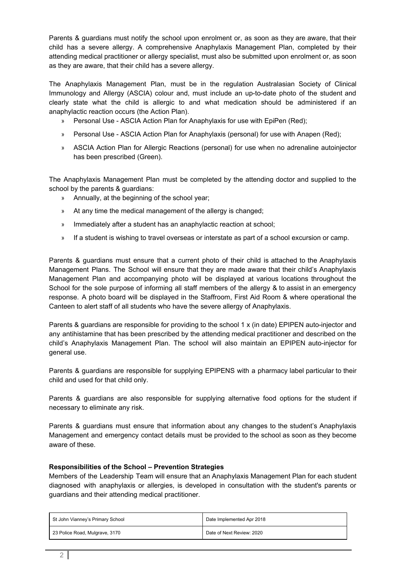Parents & guardians must notify the school upon enrolment or, as soon as they are aware, that their child has a severe allergy. A comprehensive Anaphylaxis Management Plan, completed by their attending medical practitioner or allergy specialist, must also be submitted upon enrolment or, as soon as they are aware, that their child has a severe allergy.

The Anaphylaxis Management Plan, must be in the regulation Australasian Society of Clinical Immunology and Allergy (ASCIA) colour and, must include an up-to-date photo of the student and clearly state what the child is allergic to and what medication should be administered if an anaphylactic reaction occurs (the Action Plan).

- » Personal Use ASCIA Action Plan for Anaphylaxis for use with EpiPen (Red);
- » Personal Use ASCIA Action Plan for Anaphylaxis (personal) for use with Anapen (Red);
- » ASCIA Action Plan for Allergic Reactions (personal) for use when no adrenaline autoinjector has been prescribed (Green).

The Anaphylaxis Management Plan must be completed by the attending doctor and supplied to the school by the parents & guardians:

- » Annually, at the beginning of the school year;
- » At any time the medical management of the allergy is changed;
- » Immediately after a student has an anaphylactic reaction at school;
- » If a student is wishing to travel overseas or interstate as part of a school excursion or camp.

Parents & guardians must ensure that a current photo of their child is attached to the Anaphylaxis Management Plans. The School will ensure that they are made aware that their child's Anaphylaxis Management Plan and accompanying photo will be displayed at various locations throughout the School for the sole purpose of informing all staff members of the allergy & to assist in an emergency response. A photo board will be displayed in the Staffroom, First Aid Room & where operational the Canteen to alert staff of all students who have the severe allergy of Anaphylaxis.

Parents & guardians are responsible for providing to the school 1 x (in date) EPIPEN auto-injector and any antihistamine that has been prescribed by the attending medical practitioner and described on the child's Anaphylaxis Management Plan. The school will also maintain an EPIPEN auto-injector for general use.

Parents & guardians are responsible for supplying EPIPENS with a pharmacy label particular to their child and used for that child only.

Parents & guardians are also responsible for supplying alternative food options for the student if necessary to eliminate any risk.

Parents & guardians must ensure that information about any changes to the student's Anaphylaxis Management and emergency contact details must be provided to the school as soon as they become aware of these.

## **Responsibilities of the School – Prevention Strategies**

Members of the Leadership Team will ensure that an Anaphylaxis Management Plan for each student diagnosed with anaphylaxis or allergies, is developed in consultation with the student's parents or guardians and their attending medical practitioner.

| St John Vianney's Primary School | Date Implemented Apr 2018 |
|----------------------------------|---------------------------|
| 23 Police Road, Mulgrave, 3170   | Date of Next Review: 2020 |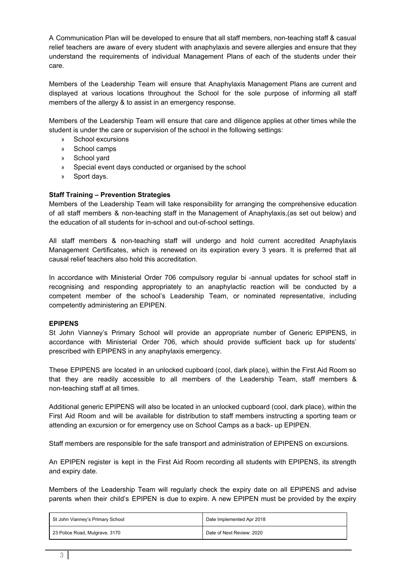A Communication Plan will be developed to ensure that all staff members, non-teaching staff & casual relief teachers are aware of every student with anaphylaxis and severe allergies and ensure that they understand the requirements of individual Management Plans of each of the students under their care.

Members of the Leadership Team will ensure that Anaphylaxis Management Plans are current and displayed at various locations throughout the School for the sole purpose of informing all staff members of the allergy & to assist in an emergency response.

Members of the Leadership Team will ensure that care and diligence applies at other times while the student is under the care or supervision of the school in the following settings:

- » School excursions
- » School camps
- » School yard
- » Special event days conducted or organised by the school
- » Sport days.

## **Staff Training – Prevention Strategies**

Members of the Leadership Team will take responsibility for arranging the comprehensive education of all staff members & non-teaching staff in the Management of Anaphylaxis,(as set out below) and the education of all students for in-school and out-of-school settings.

All staff members & non-teaching staff will undergo and hold current accredited Anaphylaxis Management Certificates, which is renewed on its expiration every 3 years. It is preferred that all causal relief teachers also hold this accreditation.

In accordance with Ministerial Order 706 compulsory regular bi -annual updates for school staff in recognising and responding appropriately to an anaphylactic reaction will be conducted by a competent member of the school's Leadership Team, or nominated representative, including competently administering an EPIPEN.

## **EPIPENS**

St John Vianney's Primary School will provide an appropriate number of Generic EPIPENS, in accordance with Ministerial Order 706, which should provide sufficient back up for students' prescribed with EPIPENS in any anaphylaxis emergency.

These EPIPENS are located in an unlocked cupboard (cool, dark place), within the First Aid Room so that they are readily accessible to all members of the Leadership Team, staff members & non-teaching staff at all times.

Additional generic EPIPENS will also be located in an unlocked cupboard (cool, dark place), within the First Aid Room and will be available for distribution to staff members instructing a sporting team or attending an excursion or for emergency use on School Camps as a back- up EPIPEN.

Staff members are responsible for the safe transport and administration of EPIPENS on excursions.

An EPIPEN register is kept in the First Aid Room recording all students with EPIPENS, its strength and expiry date.

Members of the Leadership Team will regularly check the expiry date on all EPIPENS and advise parents when their child's EPIPEN is due to expire. A new EPIPEN must be provided by the expiry

| St John Vianney's Primary School | Date Implemented Apr 2018 |
|----------------------------------|---------------------------|
| 23 Police Road, Mulgrave, 3170   | Date of Next Review: 2020 |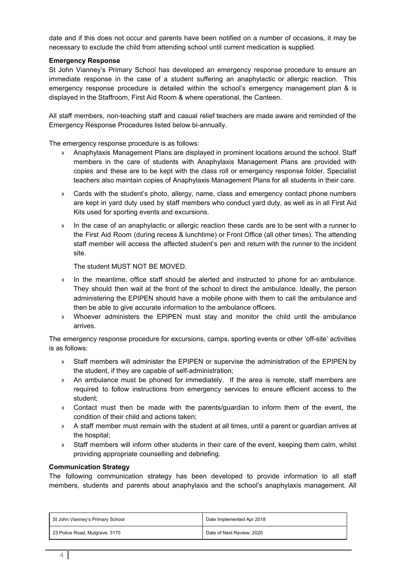date and if this does not occur and parents have been notified on a number of occasions, it may be necessary to exclude the child from attending school until current medication is supplied.

## **Emergency Response**

St John Vianney's Primary School has developed an emergency response procedure to ensure an immediate response in the case of a student suffering an anaphylactic or allergic reaction. This emergency response procedure is detailed within the school's emergency management plan & is displayed in the Staffroom, First Aid Room & where operational, the Canteen.

All staff members, non-teaching staff and casual relief teachers are made aware and reminded of the Emergency Response Procedures listed below bi-annually.

The emergency response procedure is as follows:

- » Anaphylaxis Management Plans are displayed in prominent locations around the school. Staff members in the care of students with Anaphylaxis Management Plans are provided with copies and these are to be kept with the class roll or emergency response folder. Specialist teachers also maintain copies of Anaphylaxis Management Plans for all students in their care.
- » Cards with the student's photo, allergy, name, class and emergency contact phone numbers are kept in yard duty used by staff members who conduct yard duty, as well as in all First Aid Kits used for sporting events and excursions.
- » In the case of an anaphylactic or allergic reaction these cards are to be sent with a runner to the First Aid Room (during recess & lunchtime) or Front Office (all other times). The attending staff member will access the affected student's pen and return with the runner to the incident site.

The student MUST NOT BE MOVED.

- » In the meantime, office staff should be alerted and instructed to phone for an ambulance. They should then wait at the front of the school to direct the ambulance. Ideally, the person administering the EPIPEN should have a mobile phone with them to call the ambulance and then be able to give accurate information to the ambulance officers.
- » Whoever administers the EPIPEN must stay and monitor the child until the ambulance arrives.

The emergency response procedure for excursions, camps, sporting events or other 'off-site' activities is as follows:

- » Staff members will administer the EPIPEN or supervise the administration of the EPIPEN by the student, if they are capable of self-administration;
- » An ambulance must be phoned for immediately. If the area is remote, staff members are required to follow instructions from emergency services to ensure efficient access to the student;
- » Contact must then be made with the parents/guardian to inform them of the event, the condition of their child and actions taken;
- » A staff member must remain with the student at all times, until a parent or guardian arrives at the hospital;
- » Staff members will inform other students in their care of the event, keeping them calm, whilst providing appropriate counselling and debriefing.

## **Communication Strategy**

The following communication strategy has been developed to provide information to all staff members, students and parents about anaphylaxis and the school's anaphylaxis management. All

| St John Vianney's Primary School | Date Implemented Apr 2018 |
|----------------------------------|---------------------------|
| 23 Police Road, Mulgrave, 3170   | Date of Next Review: 2020 |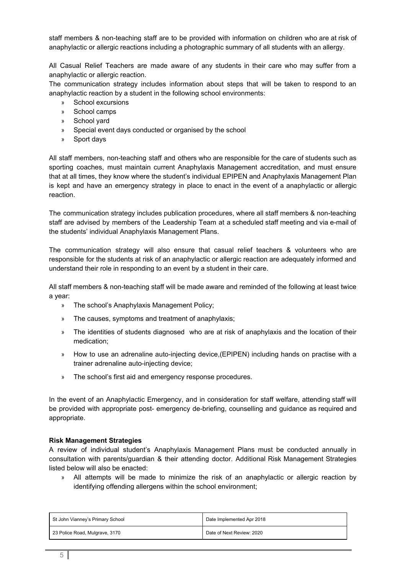staff members & non-teaching staff are to be provided with information on children who are at risk of anaphylactic or allergic reactions including a photographic summary of all students with an allergy.

All Casual Relief Teachers are made aware of any students in their care who may suffer from a anaphylactic or allergic reaction.

The communication strategy includes information about steps that will be taken to respond to an anaphylactic reaction by a student in the following school environments:

- » School excursions
- » School camps
- » School yard
- » Special event days conducted or organised by the school
- » Sport days

All staff members, non-teaching staff and others who are responsible for the care of students such as sporting coaches, must maintain current Anaphylaxis Management accreditation, and must ensure that at all times, they know where the student's individual EPIPEN and Anaphylaxis Management Plan is kept and have an emergency strategy in place to enact in the event of a anaphylactic or allergic reaction.

The communication strategy includes publication procedures, where all staff members & non-teaching staff are advised by members of the Leadership Team at a scheduled staff meeting and via e-mail of the students' individual Anaphylaxis Management Plans.

The communication strategy will also ensure that casual relief teachers & volunteers who are responsible for the students at risk of an anaphylactic or allergic reaction are adequately informed and understand their role in responding to an event by a student in their care.

All staff members & non-teaching staff will be made aware and reminded of the following at least twice a year:

- » The school's Anaphylaxis Management Policy;
- » The causes, symptoms and treatment of anaphylaxis;
- » The identities of students diagnosed who are at risk of anaphylaxis and the location of their medication;
- » How to use an adrenaline auto-injecting device,(EPIPEN) including hands on practise with a trainer adrenaline auto-injecting device;
- » The school's first aid and emergency response procedures.

In the event of an Anaphylactic Emergency, and in consideration for staff welfare, attending staff will be provided with appropriate post- emergency de-briefing, counselling and guidance as required and appropriate.

## **Risk Management Strategies**

A review of individual student's Anaphylaxis Management Plans must be conducted annually in consultation with parents/guardian & their attending doctor. Additional Risk Management Strategies listed below will also be enacted:

» All attempts will be made to minimize the risk of an anaphylactic or allergic reaction by identifying offending allergens within the school environment;

| St John Vianney's Primary School | Date Implemented Apr 2018 |
|----------------------------------|---------------------------|
| 23 Police Road, Mulgrave, 3170   | Date of Next Review: 2020 |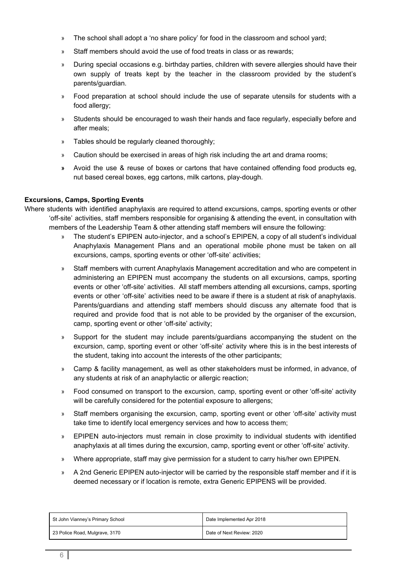- » The school shall adopt a 'no share policy' for food in the classroom and school yard;
- » Staff members should avoid the use of food treats in class or as rewards;
- » During special occasions e.g. birthday parties, children with severe allergies should have their own supply of treats kept by the teacher in the classroom provided by the student's parents/guardian.
- » Food preparation at school should include the use of separate utensils for students with a food allergy;
- » Students should be encouraged to wash their hands and face regularly, especially before and after meals;
- » Tables should be regularly cleaned thoroughly;
- » Caution should be exercised in areas of high risk including the art and drama rooms;
- **»** Avoid the use & reuse of boxes or cartons that have contained offending food products eg, nut based cereal boxes, egg cartons, milk cartons, play-dough.

## **Excursions, Camps, Sporting Events**

Where students with identified anaphylaxis are required to attend excursions, camps, sporting events or other 'off-site' activities, staff members responsible for organising & attending the event, in consultation with members of the Leadership Team & other attending staff members will ensure the following:

- » The student's EPIPEN auto-injector, and a school's EPIPEN, a copy of all student's individual Anaphylaxis Management Plans and an operational mobile phone must be taken on all excursions, camps, sporting events or other 'off-site' activities;
- » Staff members with current Anaphylaxis Management accreditation and who are competent in administering an EPIPEN must accompany the students on all excursions, camps, sporting events or other 'off-site' activities. All staff members attending all excursions, camps, sporting events or other 'off-site' activities need to be aware if there is a student at risk of anaphylaxis. Parents/guardians and attending staff members should discuss any alternate food that is required and provide food that is not able to be provided by the organiser of the excursion, camp, sporting event or other 'off-site' activity;
- » Support for the student may include parents/guardians accompanying the student on the excursion, camp, sporting event or other 'off-site' activity where this is in the best interests of the student, taking into account the interests of the other participants;
- » Camp & facility management, as well as other stakeholders must be informed, in advance, of any students at risk of an anaphylactic or allergic reaction;
- » Food consumed on transport to the excursion, camp, sporting event or other 'off-site' activity will be carefully considered for the potential exposure to allergens;
- » Staff members organising the excursion, camp, sporting event or other 'off-site' activity must take time to identify local emergency services and how to access them;
- » EPIPEN auto-injectors must remain in close proximity to individual students with identified anaphylaxis at all times during the excursion, camp, sporting event or other 'off-site' activity.
- » Where appropriate, staff may give permission for a student to carry his/her own EPIPEN.
- » A 2nd Generic EPIPEN auto-injector will be carried by the responsible staff member and if it is deemed necessary or if location is remote, extra Generic EPIPENS will be provided.

| St John Vianney's Primary School | Date Implemented Apr 2018 |
|----------------------------------|---------------------------|
| 23 Police Road, Mulgrave, 3170   | Date of Next Review: 2020 |